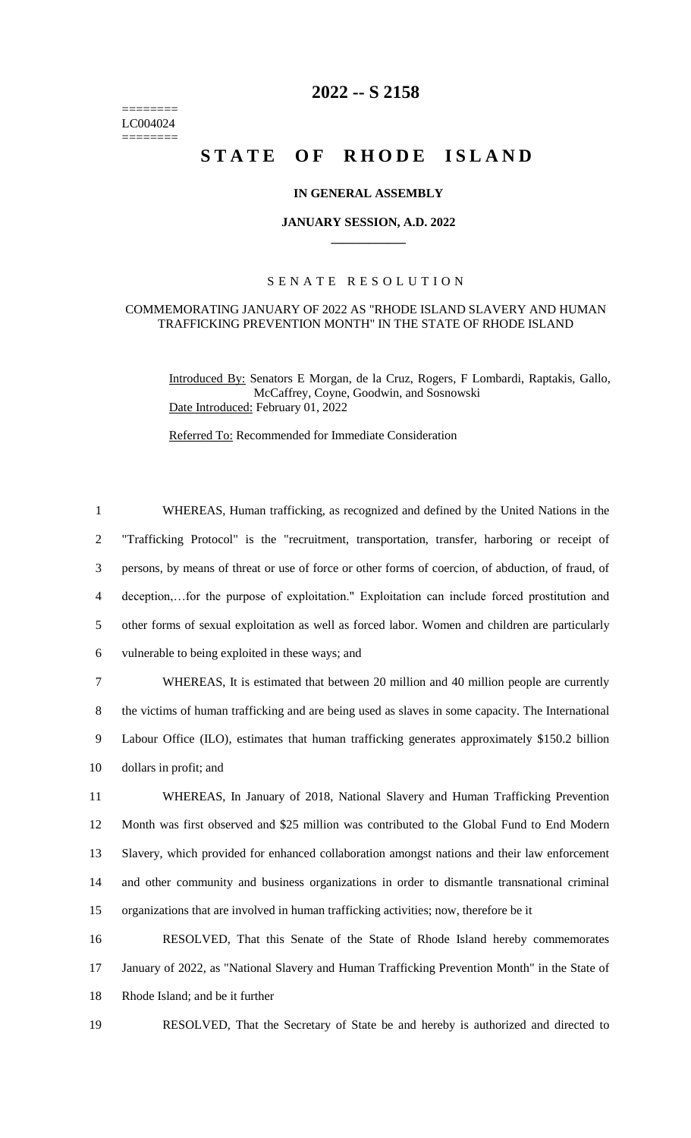======== LC004024 ========

## **2022 -- S 2158**

# **STATE OF RHODE ISLAND**

#### **IN GENERAL ASSEMBLY**

#### **JANUARY SESSION, A.D. 2022 \_\_\_\_\_\_\_\_\_\_\_\_**

### S E N A T E R E S O L U T I O N

#### COMMEMORATING JANUARY OF 2022 AS "RHODE ISLAND SLAVERY AND HUMAN TRAFFICKING PREVENTION MONTH" IN THE STATE OF RHODE ISLAND

Introduced By: Senators E Morgan, de la Cruz, Rogers, F Lombardi, Raptakis, Gallo, McCaffrey, Coyne, Goodwin, and Sosnowski Date Introduced: February 01, 2022

Referred To: Recommended for Immediate Consideration

 WHEREAS, Human trafficking, as recognized and defined by the United Nations in the "Trafficking Protocol" is the "recruitment, transportation, transfer, harboring or receipt of persons, by means of threat or use of force or other forms of coercion, of abduction, of fraud, of deception,…for the purpose of exploitation." Exploitation can include forced prostitution and other forms of sexual exploitation as well as forced labor. Women and children are particularly vulnerable to being exploited in these ways; and WHEREAS, It is estimated that between 20 million and 40 million people are currently the victims of human trafficking and are being used as slaves in some capacity. The International Labour Office (ILO), estimates that human trafficking generates approximately \$150.2 billion dollars in profit; and WHEREAS, In January of 2018, National Slavery and Human Trafficking Prevention Month was first observed and \$25 million was contributed to the Global Fund to End Modern Slavery, which provided for enhanced collaboration amongst nations and their law enforcement and other community and business organizations in order to dismantle transnational criminal organizations that are involved in human trafficking activities; now, therefore be it RESOLVED, That this Senate of the State of Rhode Island hereby commemorates

17 January of 2022, as "National Slavery and Human Trafficking Prevention Month" in the State of 18 Rhode Island; and be it further

19 RESOLVED, That the Secretary of State be and hereby is authorized and directed to